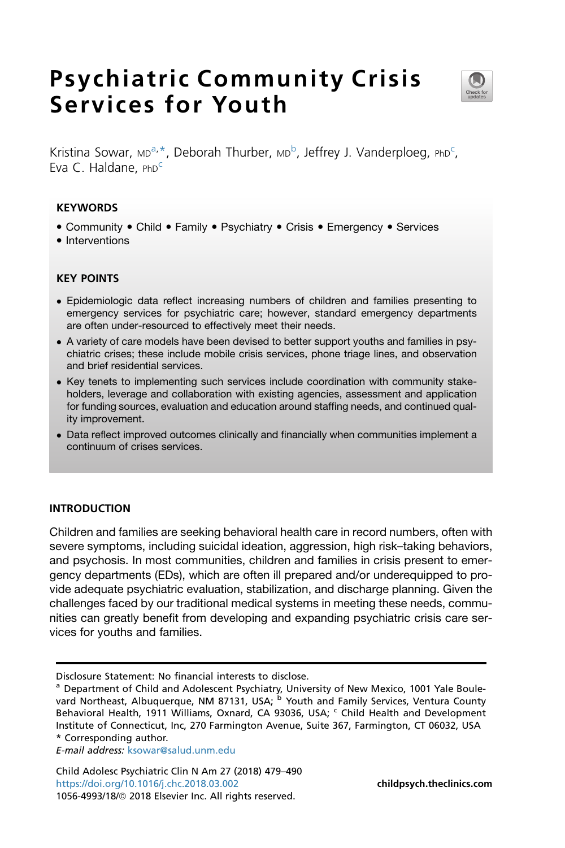# Psychiatric Community Crisis Services for Youth



Kristina Sowar, MD<sup>a,\*</sup>, Deborah Thurber, MD<sup>b</sup>, Jeffrey J. Vanderploeg, PhD<sup>c</sup>, Eva C. Haldane,  $PhD<sup>C</sup>$ 

## **KEYWORDS**

- Community Child Family Psychiatry Crisis Emergency Services
- Interventions

# KEY POINTS

- Epidemiologic data reflect increasing numbers of children and families presenting to emergency services for psychiatric care; however, standard emergency departments are often under-resourced to effectively meet their needs.
- A variety of care models have been devised to better support youths and families in psychiatric crises; these include mobile crisis services, phone triage lines, and observation and brief residential services.
- Key tenets to implementing such services include coordination with community stakeholders, leverage and collaboration with existing agencies, assessment and application for funding sources, evaluation and education around staffing needs, and continued quality improvement.
- Data reflect improved outcomes clinically and financially when communities implement a continuum of crises services.

## INTRODUCTION

Children and families are seeking behavioral health care in record numbers, often with severe symptoms, including suicidal ideation, aggression, high risk–taking behaviors, and psychosis. In most communities, children and families in crisis present to emergency departments (EDs), which are often ill prepared and/or underequipped to provide adequate psychiatric evaluation, stabilization, and discharge planning. Given the challenges faced by our traditional medical systems in meeting these needs, communities can greatly benefit from developing and expanding psychiatric crisis care services for youths and families.

Child Adolesc Psychiatric Clin N Am 27 (2018) 479–490 <https://doi.org/10.1016/j.chc.2018.03.002> [childpsych.theclinics.com](http://childpsych.theclinics.com) 1056-4993/18/@ 2018 Elsevier Inc. All rights reserved.

Disclosure Statement: No financial interests to disclose.

<sup>&</sup>lt;sup>a</sup> Department of Child and Adolescent Psychiatry, University of New Mexico, 1001 Yale Boulevard Northeast, Albuquerque, NM 87131, USA; b Youth and Family Services, Ventura County Behavioral Health, 1911 Williams, Oxnard, CA 93036, USA; <sup>c</sup> Child Health and Development Institute of Connecticut, Inc, 270 Farmington Avenue, Suite 367, Farmington, CT 06032, USA \* Corresponding author.

E-mail address: [ksowar@salud.unm.edu](mailto:ksowar@salud.unm.edu)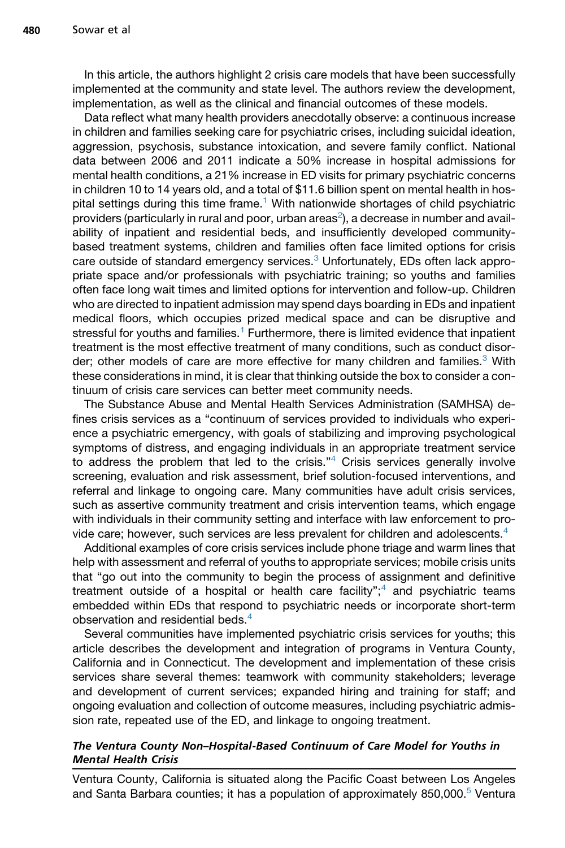In this article, the authors highlight 2 crisis care models that have been successfully implemented at the community and state level. The authors review the development, implementation, as well as the clinical and financial outcomes of these models.

Data reflect what many health providers anecdotally observe: a continuous increase in children and families seeking care for psychiatric crises, including suicidal ideation, aggression, psychosis, substance intoxication, and severe family conflict. National data between 2006 and 2011 indicate a 50% increase in hospital admissions for mental health conditions, a 21% increase in ED visits for primary psychiatric concerns in children 10 to 14 years old, and a total of \$11.6 billion spent on mental health in hos-pital settings during this time frame.<sup>[1](#page-10-0)</sup> With nationwide shortages of child psychiatric providers (particularly in rural and poor, urban areas $^2$  $^2$ ), a decrease in number and availability of inpatient and residential beds, and insufficiently developed communitybased treatment systems, children and families often face limited options for crisis care outside of standard emergency services.<sup>[3](#page-10-0)</sup> Unfortunately, EDs often lack appropriate space and/or professionals with psychiatric training; so youths and families often face long wait times and limited options for intervention and follow-up. Children who are directed to inpatient admission may spend days boarding in EDs and inpatient medical floors, which occupies prized medical space and can be disruptive and stressful for youths and families.<sup>[1](#page-10-0)</sup> Furthermore, there is limited evidence that inpatient treatment is the most effective treatment of many conditions, such as conduct disor-der; other models of care are more effective for many children and families.<sup>[3](#page-10-0)</sup> With these considerations in mind, it is clear that thinking outside the box to consider a continuum of crisis care services can better meet community needs.

The Substance Abuse and Mental Health Services Administration (SAMHSA) defines crisis services as a "continuum of services provided to individuals who experience a psychiatric emergency, with goals of stabilizing and improving psychological symptoms of distress, and engaging individuals in an appropriate treatment service to address the problem that led to the crisis."<sup>4</sup> Crisis services generally involve screening, evaluation and risk assessment, brief solution-focused interventions, and referral and linkage to ongoing care. Many communities have adult crisis services, such as assertive community treatment and crisis intervention teams, which engage with individuals in their community setting and interface with law enforcement to provide care; however, such services are less prevalent for children and adolescents.[4](#page-10-0)

Additional examples of core crisis services include phone triage and warm lines that help with assessment and referral of youths to appropriate services; mobile crisis units that "go out into the community to begin the process of assignment and definitive treatment outside of a hospital or health care facility"; $4$  and psychiatric teams embedded within EDs that respond to psychiatric needs or incorporate short-term observation and residential beds.<sup>[4](#page-10-0)</sup>

Several communities have implemented psychiatric crisis services for youths; this article describes the development and integration of programs in Ventura County, California and in Connecticut. The development and implementation of these crisis services share several themes: teamwork with community stakeholders; leverage and development of current services; expanded hiring and training for staff; and ongoing evaluation and collection of outcome measures, including psychiatric admission rate, repeated use of the ED, and linkage to ongoing treatment.

## The Ventura County Non–Hospital-Based Continuum of Care Model for Youths in Mental Health Crisis

Ventura County, California is situated along the Pacific Coast between Los Angeles and Santa Barbara counties; it has a population of approximately  $850,000$  $850,000$  $850,000$ .<sup>5</sup> Ventura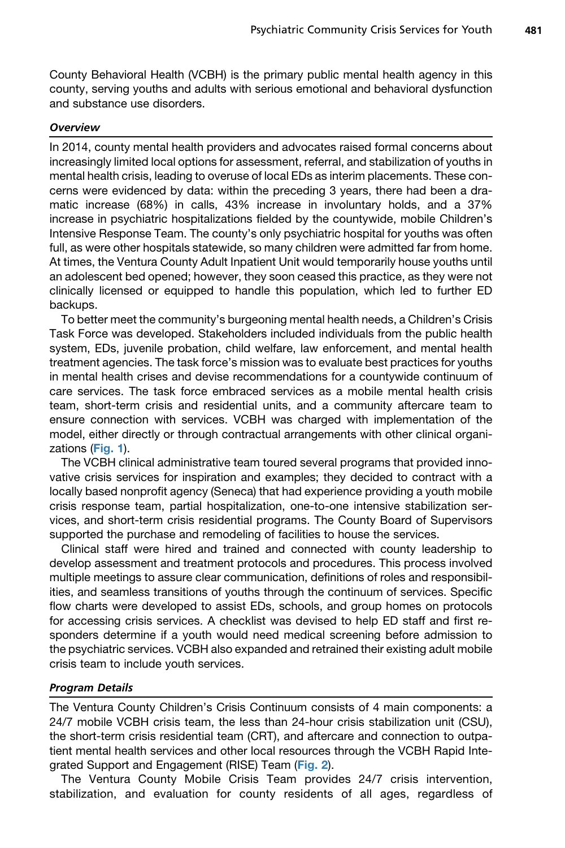County Behavioral Health (VCBH) is the primary public mental health agency in this county, serving youths and adults with serious emotional and behavioral dysfunction and substance use disorders.

#### **Overview**

In 2014, county mental health providers and advocates raised formal concerns about increasingly limited local options for assessment, referral, and stabilization of youths in mental health crisis, leading to overuse of local EDs as interim placements. These concerns were evidenced by data: within the preceding 3 years, there had been a dramatic increase (68%) in calls, 43% increase in involuntary holds, and a 37% increase in psychiatric hospitalizations fielded by the countywide, mobile Children's Intensive Response Team. The county's only psychiatric hospital for youths was often full, as were other hospitals statewide, so many children were admitted far from home. At times, the Ventura County Adult Inpatient Unit would temporarily house youths until an adolescent bed opened; however, they soon ceased this practice, as they were not clinically licensed or equipped to handle this population, which led to further ED backups.

To better meet the community's burgeoning mental health needs, a Children's Crisis Task Force was developed. Stakeholders included individuals from the public health system, EDs, juvenile probation, child welfare, law enforcement, and mental health treatment agencies. The task force's mission was to evaluate best practices for youths in mental health crises and devise recommendations for a countywide continuum of care services. The task force embraced services as a mobile mental health crisis team, short-term crisis and residential units, and a community aftercare team to ensure connection with services. VCBH was charged with implementation of the model, either directly or through contractual arrangements with other clinical organi-zations ([Fig. 1](#page-3-0)).

The VCBH clinical administrative team toured several programs that provided innovative crisis services for inspiration and examples; they decided to contract with a locally based nonprofit agency (Seneca) that had experience providing a youth mobile crisis response team, partial hospitalization, one-to-one intensive stabilization services, and short-term crisis residential programs. The County Board of Supervisors supported the purchase and remodeling of facilities to house the services.

Clinical staff were hired and trained and connected with county leadership to develop assessment and treatment protocols and procedures. This process involved multiple meetings to assure clear communication, definitions of roles and responsibilities, and seamless transitions of youths through the continuum of services. Specific flow charts were developed to assist EDs, schools, and group homes on protocols for accessing crisis services. A checklist was devised to help ED staff and first responders determine if a youth would need medical screening before admission to the psychiatric services. VCBH also expanded and retrained their existing adult mobile crisis team to include youth services.

## Program Details

The Ventura County Children's Crisis Continuum consists of 4 main components: a 24/7 mobile VCBH crisis team, the less than 24-hour crisis stabilization unit (CSU), the short-term crisis residential team (CRT), and aftercare and connection to outpatient mental health services and other local resources through the VCBH Rapid Inte-grated Support and Engagement (RISE) Team ([Fig. 2](#page-4-0)).

The Ventura County Mobile Crisis Team provides 24/7 crisis intervention, stabilization, and evaluation for county residents of all ages, regardless of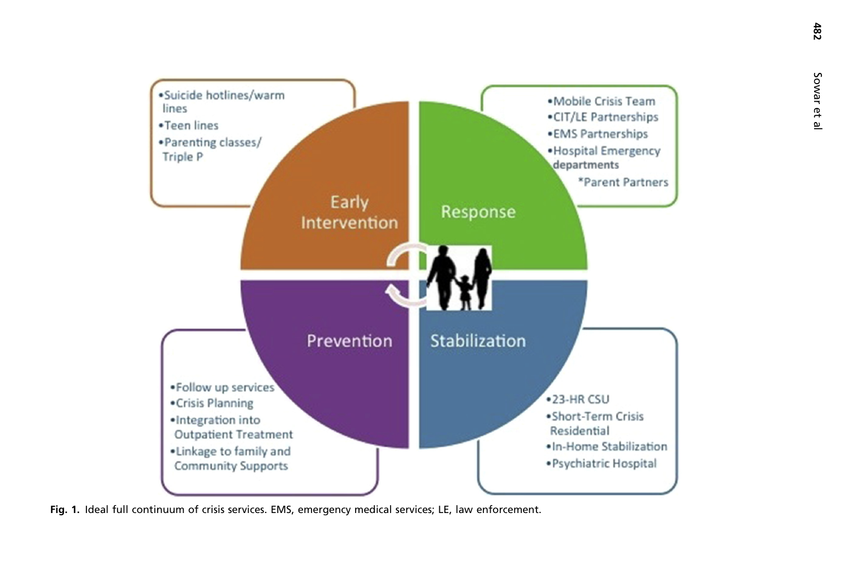<span id="page-3-0"></span>

Fig. 1. Ideal full continuum of crisis services. EMS, emergency medical services; LE, law enforcement.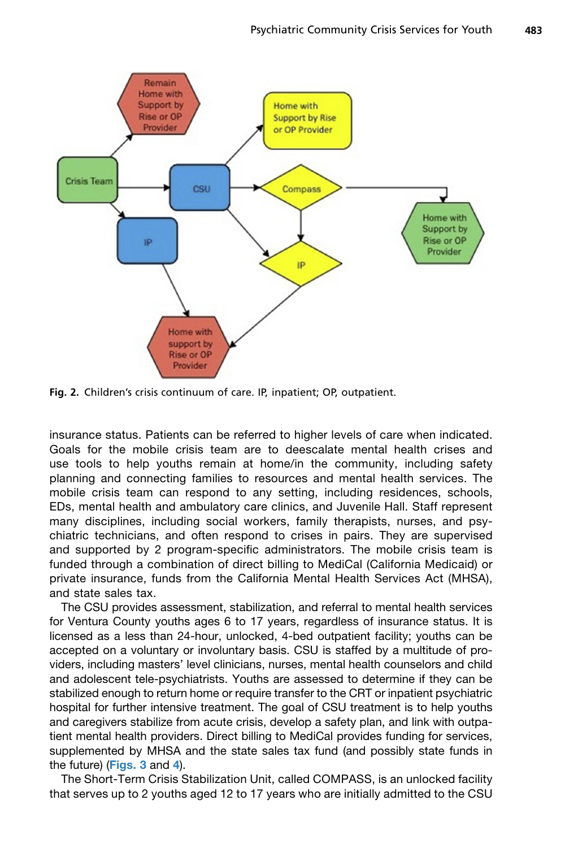<span id="page-4-0"></span>

Fig. 2. Children's crisis continuum of care. IP, inpatient; OP, outpatient.

insurance status. Patients can be referred to higher levels of care when indicated. Goals for the mobile crisis team are to deescalate mental health crises and use tools to help youths remain at home/in the community, including safety planning and connecting families to resources and mental health services. The mobile crisis team can respond to any setting, including residences, schools, EDs, mental health and ambulatory care clinics, and Juvenile Hall. Staff represent many disciplines, including social workers, family therapists, nurses, and psychiatric technicians, and often respond to crises in pairs. They are supervised and supported by 2 program-specific administrators. The mobile crisis team is funded through a combination of direct billing to MediCal (California Medicaid) or private insurance, funds from the California Mental Health Services Act (MHSA), and state sales tax.

The CSU provides assessment, stabilization, and referral to mental health services for Ventura County youths ages 6 to 17 years, regardless of insurance status. It is licensed as a less than 24-hour, unlocked, 4-bed outpatient facility; youths can be accepted on a voluntary or involuntary basis. CSU is staffed by a multitude of providers, including masters' level clinicians, nurses, mental health counselors and child and adolescent tele-psychiatrists. Youths are assessed to determine if they can be stabilized enough to return home or require transfer to the CRT or inpatient psychiatric hospital for further intensive treatment. The goal of CSU treatment is to help youths and caregivers stabilize from acute crisis, develop a safety plan, and link with outpatient mental health providers. Direct billing to MediCal provides funding for services, supplemented by MHSA and the state sales tax fund (and possibly state funds in the future) ([Figs. 3](#page-5-0) and [4](#page-6-0)).

The Short-Term Crisis Stabilization Unit, called COMPASS, is an unlocked facility that serves up to 2 youths aged 12 to 17 years who are initially admitted to the CSU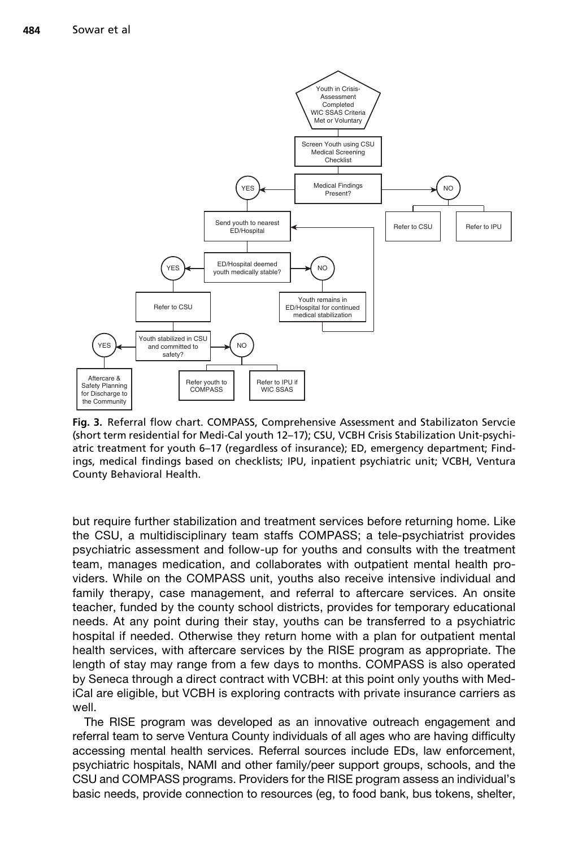<span id="page-5-0"></span>

Fig. 3. Referral flow chart. COMPASS, Comprehensive Assessment and Stabilizaton Servcie (short term residential for Medi-Cal youth 12–17); CSU, VCBH Crisis Stabilization Unit-psychiatric treatment for youth 6–17 (regardless of insurance); ED, emergency department; Findings, medical findings based on checklists; IPU, inpatient psychiatric unit; VCBH, Ventura County Behavioral Health.

but require further stabilization and treatment services before returning home. Like the CSU, a multidisciplinary team staffs COMPASS; a tele-psychiatrist provides psychiatric assessment and follow-up for youths and consults with the treatment team, manages medication, and collaborates with outpatient mental health providers. While on the COMPASS unit, youths also receive intensive individual and family therapy, case management, and referral to aftercare services. An onsite teacher, funded by the county school districts, provides for temporary educational needs. At any point during their stay, youths can be transferred to a psychiatric hospital if needed. Otherwise they return home with a plan for outpatient mental health services, with aftercare services by the RISE program as appropriate. The length of stay may range from a few days to months. COMPASS is also operated by Seneca through a direct contract with VCBH: at this point only youths with MediCal are eligible, but VCBH is exploring contracts with private insurance carriers as well.

The RISE program was developed as an innovative outreach engagement and referral team to serve Ventura County individuals of all ages who are having difficulty accessing mental health services. Referral sources include EDs, law enforcement, psychiatric hospitals, NAMI and other family/peer support groups, schools, and the CSU and COMPASS programs. Providers for the RISE program assess an individual's basic needs, provide connection to resources (eg, to food bank, bus tokens, shelter,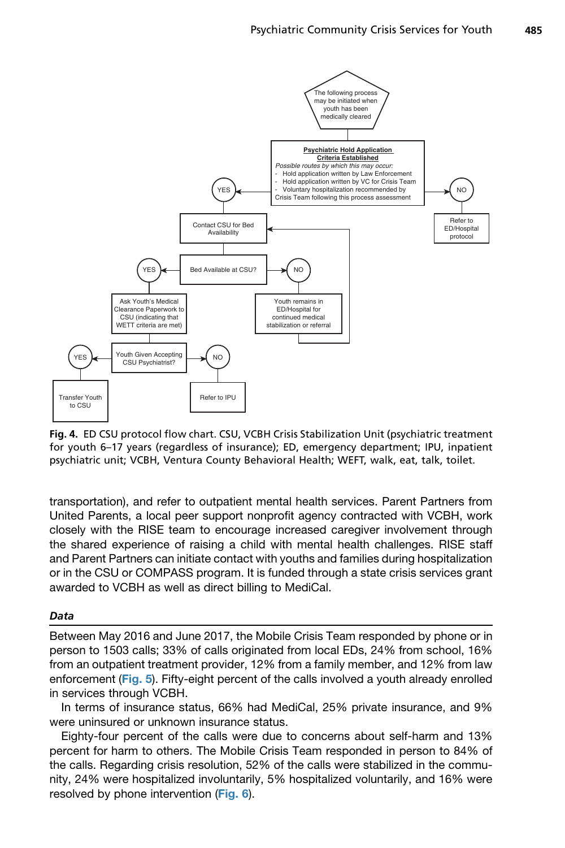<span id="page-6-0"></span>

Fig. 4. ED CSU protocol flow chart. CSU, VCBH Crisis Stabilization Unit (psychiatric treatment for youth 6–17 years (regardless of insurance); ED, emergency department; IPU, inpatient psychiatric unit; VCBH, Ventura County Behavioral Health; WEFT, walk, eat, talk, toilet.

transportation), and refer to outpatient mental health services. Parent Partners from United Parents, a local peer support nonprofit agency contracted with VCBH, work closely with the RISE team to encourage increased caregiver involvement through the shared experience of raising a child with mental health challenges. RISE staff and Parent Partners can initiate contact with youths and families during hospitalization or in the CSU or COMPASS program. It is funded through a state crisis services grant awarded to VCBH as well as direct billing to MediCal.

### Data

Between May 2016 and June 2017, the Mobile Crisis Team responded by phone or in person to 1503 calls; 33% of calls originated from local EDs, 24% from school, 16% from an outpatient treatment provider, 12% from a family member, and 12% from law enforcement ([Fig. 5](#page-7-0)). Fifty-eight percent of the calls involved a youth already enrolled in services through VCBH.

In terms of insurance status, 66% had MediCal, 25% private insurance, and 9% were uninsured or unknown insurance status.

Eighty-four percent of the calls were due to concerns about self-harm and 13% percent for harm to others. The Mobile Crisis Team responded in person to 84% of the calls. Regarding crisis resolution, 52% of the calls were stabilized in the community, 24% were hospitalized involuntarily, 5% hospitalized voluntarily, and 16% were resolved by phone intervention ([Fig. 6](#page-7-0)).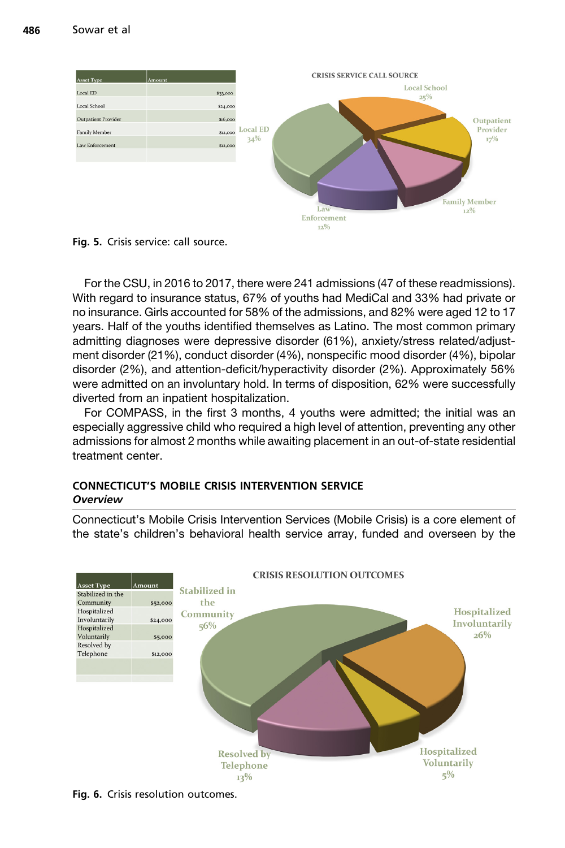<span id="page-7-0"></span>

Fig. 5. Crisis service: call source.

For the CSU, in 2016 to 2017, there were 241 admissions (47 of these readmissions). With regard to insurance status, 67% of youths had MediCal and 33% had private or no insurance. Girls accounted for 58% of the admissions, and 82% were aged 12 to 17 years. Half of the youths identified themselves as Latino. The most common primary admitting diagnoses were depressive disorder (61%), anxiety/stress related/adjustment disorder (21%), conduct disorder (4%), nonspecific mood disorder (4%), bipolar disorder (2%), and attention-deficit/hyperactivity disorder (2%). Approximately 56% were admitted on an involuntary hold. In terms of disposition, 62% were successfully diverted from an inpatient hospitalization.

For COMPASS, in the first 3 months, 4 youths were admitted; the initial was an especially aggressive child who required a high level of attention, preventing any other admissions for almost 2 months while awaiting placement in an out-of-state residential treatment center.

## CONNECTICUT'S MOBILE CRISIS INTERVENTION SERVICE **Overview**

Connecticut's Mobile Crisis Intervention Services (Mobile Crisis) is a core element of the state's children's behavioral health service array, funded and overseen by the



Fig. 6. Crisis resolution outcomes.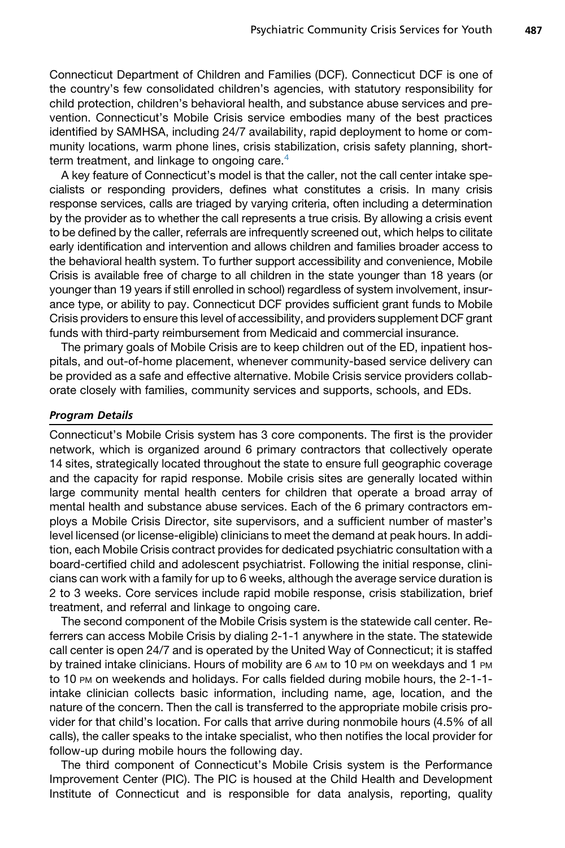Connecticut Department of Children and Families (DCF). Connecticut DCF is one of the country's few consolidated children's agencies, with statutory responsibility for child protection, children's behavioral health, and substance abuse services and prevention. Connecticut's Mobile Crisis service embodies many of the best practices identified by SAMHSA, including 24/7 availability, rapid deployment to home or community locations, warm phone lines, crisis stabilization, crisis safety planning, shortterm treatment, and linkage to ongoing care. $4$ 

A key feature of Connecticut's model is that the caller, not the call center intake specialists or responding providers, defines what constitutes a crisis. In many crisis response services, calls are triaged by varying criteria, often including a determination by the provider as to whether the call represents a true crisis. By allowing a crisis event to be defined by the caller, referrals are infrequently screened out, which helps to cilitate early identification and intervention and allows children and families broader access to the behavioral health system. To further support accessibility and convenience, Mobile Crisis is available free of charge to all children in the state younger than 18 years (or younger than 19 years if still enrolled in school) regardless of system involvement, insurance type, or ability to pay. Connecticut DCF provides sufficient grant funds to Mobile Crisis providers to ensure this level of accessibility, and providers supplement DCF grant funds with third-party reimbursement from Medicaid and commercial insurance.

The primary goals of Mobile Crisis are to keep children out of the ED, inpatient hospitals, and out-of-home placement, whenever community-based service delivery can be provided as a safe and effective alternative. Mobile Crisis service providers collaborate closely with families, community services and supports, schools, and EDs.

#### Program Details

Connecticut's Mobile Crisis system has 3 core components. The first is the provider network, which is organized around 6 primary contractors that collectively operate 14 sites, strategically located throughout the state to ensure full geographic coverage and the capacity for rapid response. Mobile crisis sites are generally located within large community mental health centers for children that operate a broad array of mental health and substance abuse services. Each of the 6 primary contractors employs a Mobile Crisis Director, site supervisors, and a sufficient number of master's level licensed (or license-eligible) clinicians to meet the demand at peak hours. In addition, each Mobile Crisis contract provides for dedicated psychiatric consultation with a board-certified child and adolescent psychiatrist. Following the initial response, clinicians can work with a family for up to 6 weeks, although the average service duration is 2 to 3 weeks. Core services include rapid mobile response, crisis stabilization, brief treatment, and referral and linkage to ongoing care.

The second component of the Mobile Crisis system is the statewide call center. Referrers can access Mobile Crisis by dialing 2-1-1 anywhere in the state. The statewide call center is open 24/7 and is operated by the United Way of Connecticut; it is staffed by trained intake clinicians. Hours of mobility are 6 AM to 10 PM on weekdays and 1 PM to 10 PM on weekends and holidays. For calls fielded during mobile hours, the 2-1-1 intake clinician collects basic information, including name, age, location, and the nature of the concern. Then the call is transferred to the appropriate mobile crisis provider for that child's location. For calls that arrive during nonmobile hours (4.5% of all calls), the caller speaks to the intake specialist, who then notifies the local provider for follow-up during mobile hours the following day.

The third component of Connecticut's Mobile Crisis system is the Performance Improvement Center (PIC). The PIC is housed at the Child Health and Development Institute of Connecticut and is responsible for data analysis, reporting, quality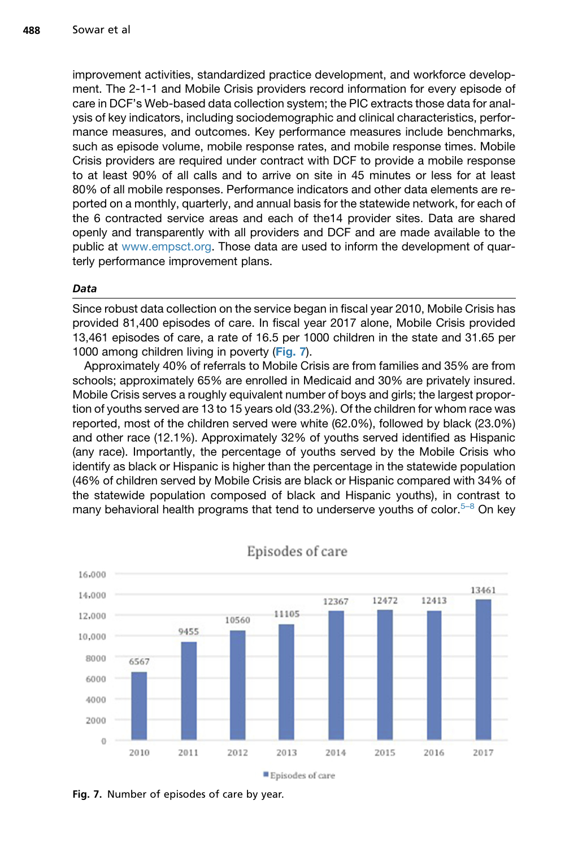improvement activities, standardized practice development, and workforce development. The 2-1-1 and Mobile Crisis providers record information for every episode of care in DCF's Web-based data collection system; the PIC extracts those data for analysis of key indicators, including sociodemographic and clinical characteristics, performance measures, and outcomes. Key performance measures include benchmarks, such as episode volume, mobile response rates, and mobile response times. Mobile Crisis providers are required under contract with DCF to provide a mobile response to at least 90% of all calls and to arrive on site in 45 minutes or less for at least 80% of all mobile responses. Performance indicators and other data elements are reported on a monthly, quarterly, and annual basis for the statewide network, for each of the 6 contracted service areas and each of the14 provider sites. Data are shared openly and transparently with all providers and DCF and are made available to the public at [www.empsct.org.](http://www.empsct.org) Those data are used to inform the development of quarterly performance improvement plans.

## Data

Since robust data collection on the service began in fiscal year 2010, Mobile Crisis has provided 81,400 episodes of care. In fiscal year 2017 alone, Mobile Crisis provided 13,461 episodes of care, a rate of 16.5 per 1000 children in the state and 31.65 per 1000 among children living in poverty (Fig. 7).

Approximately 40% of referrals to Mobile Crisis are from families and 35% are from schools; approximately 65% are enrolled in Medicaid and 30% are privately insured. Mobile Crisis serves a roughly equivalent number of boys and girls; the largest proportion of youths served are 13 to 15 years old (33.2%). Of the children for whom race was reported, most of the children served were white (62.0%), followed by black (23.0%) and other race (12.1%). Approximately 32% of youths served identified as Hispanic (any race). Importantly, the percentage of youths served by the Mobile Crisis who identify as black or Hispanic is higher than the percentage in the statewide population (46% of children served by Mobile Crisis are black or Hispanic compared with 34% of the statewide population composed of black and Hispanic youths), in contrast to many behavioral health programs that tend to underserve youths of color.<sup>[5–8](#page-10-0)</sup> On key



Episodes of care

Fig. 7. Number of episodes of care by year.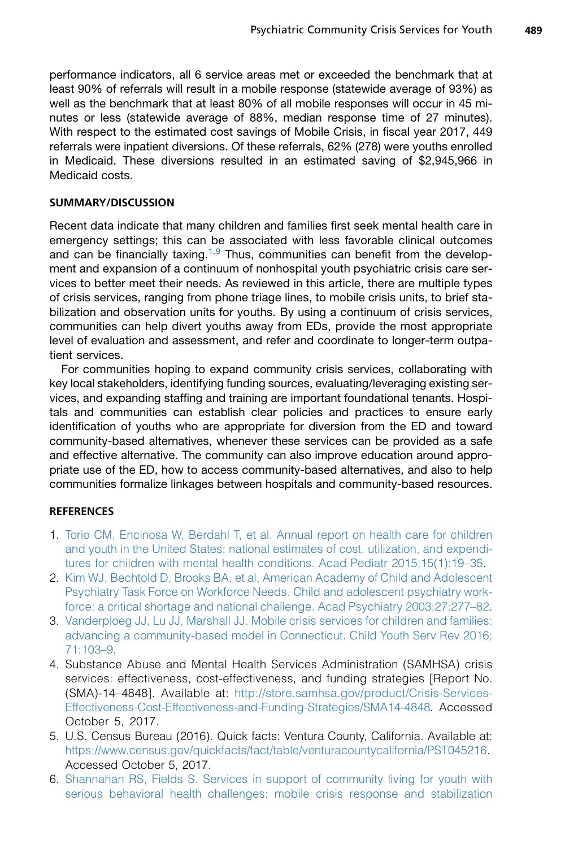<span id="page-10-0"></span>performance indicators, all 6 service areas met or exceeded the benchmark that at least 90% of referrals will result in a mobile response (statewide average of 93%) as well as the benchmark that at least 80% of all mobile responses will occur in 45 minutes or less (statewide average of 88%, median response time of 27 minutes). With respect to the estimated cost savings of Mobile Crisis, in fiscal year 2017, 449 referrals were inpatient diversions. Of these referrals, 62% (278) were youths enrolled in Medicaid. These diversions resulted in an estimated saving of \$2,945,966 in Medicaid costs.

## SUMMARY/DISCUSSION

Recent data indicate that many children and families first seek mental health care in emergency settings; this can be associated with less favorable clinical outcomes and can be financially taxing.<sup>1,9</sup> Thus, communities can benefit from the development and expansion of a continuum of nonhospital youth psychiatric crisis care services to better meet their needs. As reviewed in this article, there are multiple types of crisis services, ranging from phone triage lines, to mobile crisis units, to brief stabilization and observation units for youths. By using a continuum of crisis services, communities can help divert youths away from EDs, provide the most appropriate level of evaluation and assessment, and refer and coordinate to longer-term outpatient services.

For communities hoping to expand community crisis services, collaborating with key local stakeholders, identifying funding sources, evaluating/leveraging existing services, and expanding staffing and training are important foundational tenants. Hospitals and communities can establish clear policies and practices to ensure early identification of youths who are appropriate for diversion from the ED and toward community-based alternatives, whenever these services can be provided as a safe and effective alternative. The community can also improve education around appropriate use of the ED, how to access community-based alternatives, and also to help communities formalize linkages between hospitals and community-based resources.

## **REFERENCES**

- 1. [Torio CM, Encinosa W, Berdahl T, et al. Annual report on health care for children](http://refhub.elsevier.com/S1056-4993(18)30019-1/sref1) [and youth in the United States: national estimates of cost, utilization, and expendi](http://refhub.elsevier.com/S1056-4993(18)30019-1/sref1)[tures for children with mental health conditions. Acad Pediatr 2015;15\(1\):19–35](http://refhub.elsevier.com/S1056-4993(18)30019-1/sref1).
- 2. [Kim WJ, Bechtold D, Brooks BA, et al, American Academy of Child and Adolescent](http://refhub.elsevier.com/S1056-4993(18)30019-1/sref2) [Psychiatry Task Force on Workforce Needs. Child and adolescent psychiatry work](http://refhub.elsevier.com/S1056-4993(18)30019-1/sref2)[force: a critical shortage and national challenge. Acad Psychiatry 2003;27:277–82](http://refhub.elsevier.com/S1056-4993(18)30019-1/sref2).
- 3. [Vanderploeg JJ, Lu JJ, Marshall JJ. Mobile crisis services for children and families:](http://refhub.elsevier.com/S1056-4993(18)30019-1/sref3) [advancing a community-based model in Connecticut. Child Youth Serv Rev 2016;](http://refhub.elsevier.com/S1056-4993(18)30019-1/sref3) [71:103–9.](http://refhub.elsevier.com/S1056-4993(18)30019-1/sref3)
- 4. Substance Abuse and Mental Health Services Administration (SAMHSA) crisis services: effectiveness, cost-effectiveness, and funding strategies [Report No. (SMA)-14–4848]. Available at: [http://store.samhsa.gov/product/Crisis-Services-](http://store.samhsa.gov/product/Crisis-Services-Effectiveness-Cost-Effectiveness-and-Funding-Strategies/SMA14-4848)[Effectiveness-Cost-Effectiveness-and-Funding-Strategies/SMA14-4848.](http://store.samhsa.gov/product/Crisis-Services-Effectiveness-Cost-Effectiveness-and-Funding-Strategies/SMA14-4848) Accessed October 5, 2017.
- 5. U.S. Census Bureau (2016). Quick facts: Ventura County, California. Available at: <https://www.census.gov/quickfacts/fact/table/venturacountycalifornia/PST045216>. Accessed October 5, 2017.
- 6. [Shannahan RS, Fields S. Services in support of community living for youth with](http://refhub.elsevier.com/S1056-4993(18)30019-1/sref6) [serious behavioral health challenges: mobile crisis response and stabilization](http://refhub.elsevier.com/S1056-4993(18)30019-1/sref6)